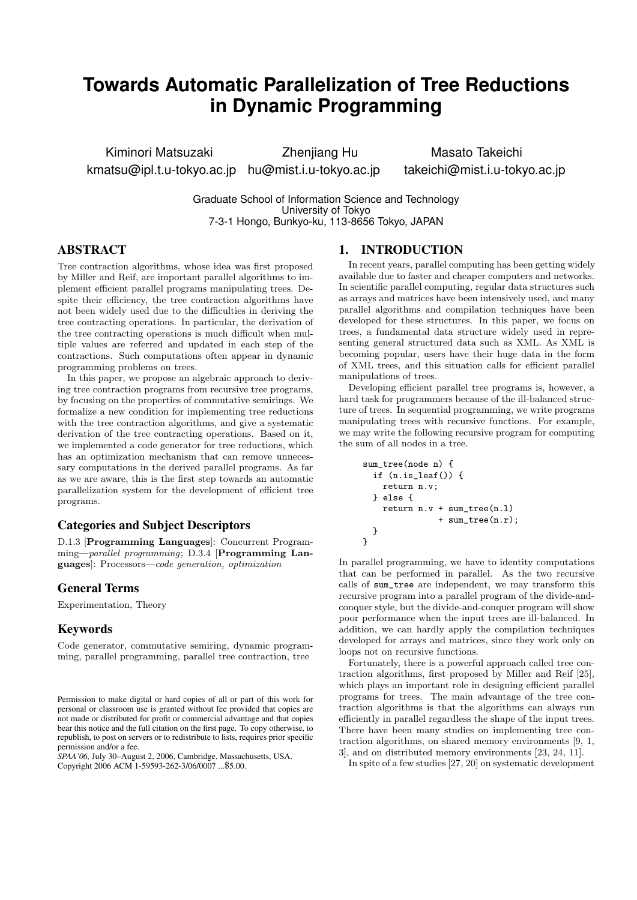# **Towards Automatic Parallelization of Tree Reductions in Dynamic Programming**

Kiminori Matsuzaki kmatsu@ipl.t.u-tokyo.ac.jp hu@mist.i.u-tokyo.ac.jp Zheniiang Hu

Masato Takeichi takeichi@mist.i.u-tokyo.ac.jp

Graduate School of Information Science and Technology University of Tokyo 7-3-1 Hongo, Bunkyo-ku, 113-8656 Tokyo, JAPAN

# ABSTRACT

Tree contraction algorithms, whose idea was first proposed by Miller and Reif, are important parallel algorithms to implement efficient parallel programs manipulating trees. Despite their efficiency, the tree contraction algorithms have not been widely used due to the difficulties in deriving the tree contracting operations. In particular, the derivation of the tree contracting operations is much difficult when multiple values are referred and updated in each step of the contractions. Such computations often appear in dynamic programming problems on trees.

In this paper, we propose an algebraic approach to deriving tree contraction programs from recursive tree programs, by focusing on the properties of commutative semirings. We formalize a new condition for implementing tree reductions with the tree contraction algorithms, and give a systematic derivation of the tree contracting operations. Based on it, we implemented a code generator for tree reductions, which has an optimization mechanism that can remove unnecessary computations in the derived parallel programs. As far as we are aware, this is the first step towards an automatic parallelization system for the development of efficient tree programs.

## Categories and Subject Descriptors

D.1.3 [**Programming Languages**]: Concurrent Programming—*parallel programming*; D.3.4 [**Programming Languages**]: Processors—*code generation, optimization*

#### General Terms

Experimentation, Theory

#### Keywords

Code generator, commutative semiring, dynamic programming, parallel programming, parallel tree contraction, tree

*SPAA'06,* July 30–August 2, 2006, Cambridge, Massachusetts, USA. Copyright 2006 ACM 1-59593-262-3/06/0007 ...\$5.00.

# 1. INTRODUCTION

In recent years, parallel computing has been getting widely available due to faster and cheaper computers and networks. In scientific parallel computing, regular data structures such as arrays and matrices have been intensively used, and many parallel algorithms and compilation techniques have been developed for these structures. In this paper, we focus on trees, a fundamental data structure widely used in representing general structured data such as XML. As XML is becoming popular, users have their huge data in the form of XML trees, and this situation calls for efficient parallel manipulations of trees.

Developing efficient parallel tree programs is, however, a hard task for programmers because of the ill-balanced structure of trees. In sequential programming, we write programs manipulating trees with recursive functions. For example, we may write the following recursive program for computing the sum of all nodes in a tree.

```
sum_tree(node n) {
  if (n.is_leaf()) {
    return n.v;
  } else {
    return n.v + sum_tree(n.l)
               + sum_tree(n.r);
  }
}
```
In parallel programming, we have to identity computations that can be performed in parallel. As the two recursive calls of sum\_tree are independent, we may transform this recursive program into a parallel program of the divide-andconquer style, but the divide-and-conquer program will show poor performance when the input trees are ill-balanced. In addition, we can hardly apply the compilation techniques developed for arrays and matrices, since they work only on loops not on recursive functions.

Fortunately, there is a powerful approach called tree contraction algorithms, first proposed by Miller and Reif [25], which plays an important role in designing efficient parallel programs for trees. The main advantage of the tree contraction algorithms is that the algorithms can always run efficiently in parallel regardless the shape of the input trees. There have been many studies on implementing tree contraction algorithms, on shared memory environments [9, 1, 3], and on distributed memory environments [23, 24, 11].

In spite of a few studies [27, 20] on systematic development

Permission to make digital or hard copies of all or part of this work for personal or classroom use is granted without fee provided that copies are not made or distributed for profit or commercial advantage and that copies bear this notice and the full citation on the first page. To copy otherwise, to republish, to post on servers or to redistribute to lists, requires prior specific permission and/or a fee.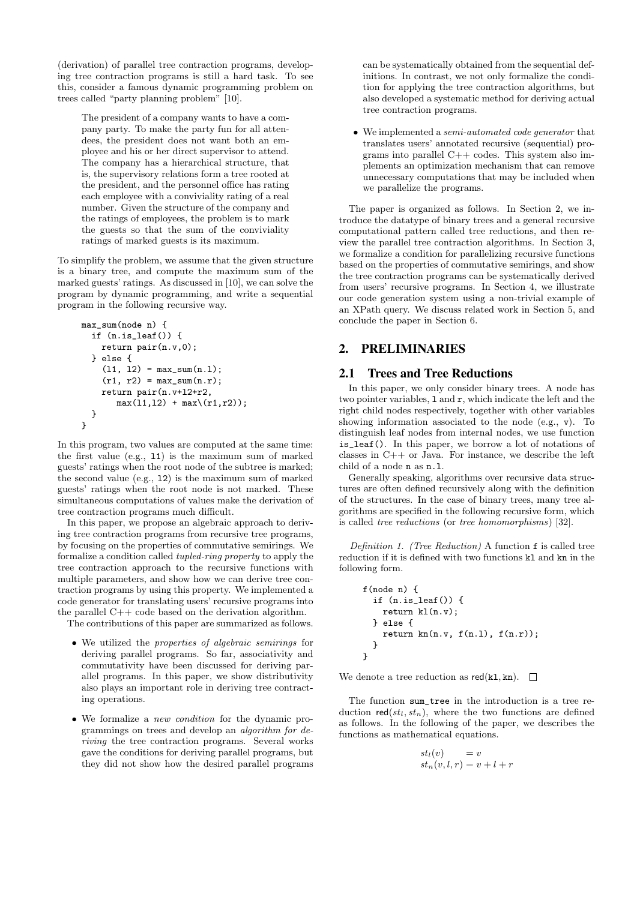(derivation) of parallel tree contraction programs, developing tree contraction programs is still a hard task. To see this, consider a famous dynamic programming problem on trees called "party planning problem" [10].

The president of a company wants to have a company party. To make the party fun for all attendees, the president does not want both an employee and his or her direct supervisor to attend. The company has a hierarchical structure, that is, the supervisory relations form a tree rooted at the president, and the personnel office has rating each employee with a conviviality rating of a real number. Given the structure of the company and the ratings of employees, the problem is to mark the guests so that the sum of the conviviality ratings of marked guests is its maximum.

To simplify the problem, we assume that the given structure is a binary tree, and compute the maximum sum of the marked guests' ratings. As discussed in [10], we can solve the program by dynamic programming, and write a sequential program in the following recursive way.

```
max_sum(node n) {
  if (n.is\_leaf()) {
    return pair(n.v,0);
  } else {
    (11, 12) = max\_sum(n.1);(r1, r2) = max\_sum(n.r);return pair(n.v+l2+r2,
       max(11,12) + max(11,r2));}
}
```
In this program, two values are computed at the same time: the first value (e.g., l1) is the maximum sum of marked guests' ratings when the root node of the subtree is marked; the second value (e.g., l2) is the maximum sum of marked guests' ratings when the root node is not marked. These simultaneous computations of values make the derivation of tree contraction programs much difficult.

In this paper, we propose an algebraic approach to deriving tree contraction programs from recursive tree programs, by focusing on the properties of commutative semirings. We formalize a condition called *tupled-ring property* to apply the tree contraction approach to the recursive functions with multiple parameters, and show how we can derive tree contraction programs by using this property. We implemented a code generator for translating users' recursive programs into the parallel C++ code based on the derivation algorithm.

The contributions of this paper are summarized as follows.

- *•* We utilized the *properties of algebraic semirings* for deriving parallel programs. So far, associativity and commutativity have been discussed for deriving parallel programs. In this paper, we show distributivity also plays an important role in deriving tree contracting operations.
- *•* We formalize a *new condition* for the dynamic programmings on trees and develop an *algorithm for deriving* the tree contraction programs. Several works gave the conditions for deriving parallel programs, but they did not show how the desired parallel programs

can be systematically obtained from the sequential definitions. In contrast, we not only formalize the condition for applying the tree contraction algorithms, but also developed a systematic method for deriving actual tree contraction programs.

*•* We implemented a *semi-automated code generator* that translates users' annotated recursive (sequential) programs into parallel C++ codes. This system also implements an optimization mechanism that can remove unnecessary computations that may be included when we parallelize the programs.

The paper is organized as follows. In Section 2, we introduce the datatype of binary trees and a general recursive computational pattern called tree reductions, and then review the parallel tree contraction algorithms. In Section 3, we formalize a condition for parallelizing recursive functions based on the properties of commutative semirings, and show the tree contraction programs can be systematically derived from users' recursive programs. In Section 4, we illustrate our code generation system using a non-trivial example of an XPath query. We discuss related work in Section 5, and conclude the paper in Section 6.

# 2. PRELIMINARIES

### 2.1 Trees and Tree Reductions

In this paper, we only consider binary trees. A node has two pointer variables,  $1$  and  $r$ , which indicate the left and the right child nodes respectively, together with other variables showing information associated to the node (e.g., v). To distinguish leaf nodes from internal nodes, we use function is\_leaf(). In this paper, we borrow a lot of notations of classes in  $C++$  or Java. For instance, we describe the left child of a node n as n.l.

Generally speaking, algorithms over recursive data structures are often defined recursively along with the definition of the structures. In the case of binary trees, many tree algorithms are specified in the following recursive form, which is called *tree reductions* (or *tree homomorphisms*) [32].

*Definition 1. (Tree Reduction)* A function f is called tree reduction if it is defined with two functions kl and kn in the following form.

```
f(node n) {
  if (n.is\_leaf()) {
    return kl(n.v);
  } else {
    return kn(n.v, f(n.1), f(n.r));}
}
```
We denote a tree reduction as  $\text{red}(k1, kn)$ .  $\Box$ 

The function sum\_tree in the introduction is a tree reduction  $\text{red}(st_l, st_n)$ , where the two functions are defined as follows. In the following of the paper, we describes the functions as mathematical equations.

$$
st_l(v) = v
$$
  

$$
st_n(v, l, r) = v + l + r
$$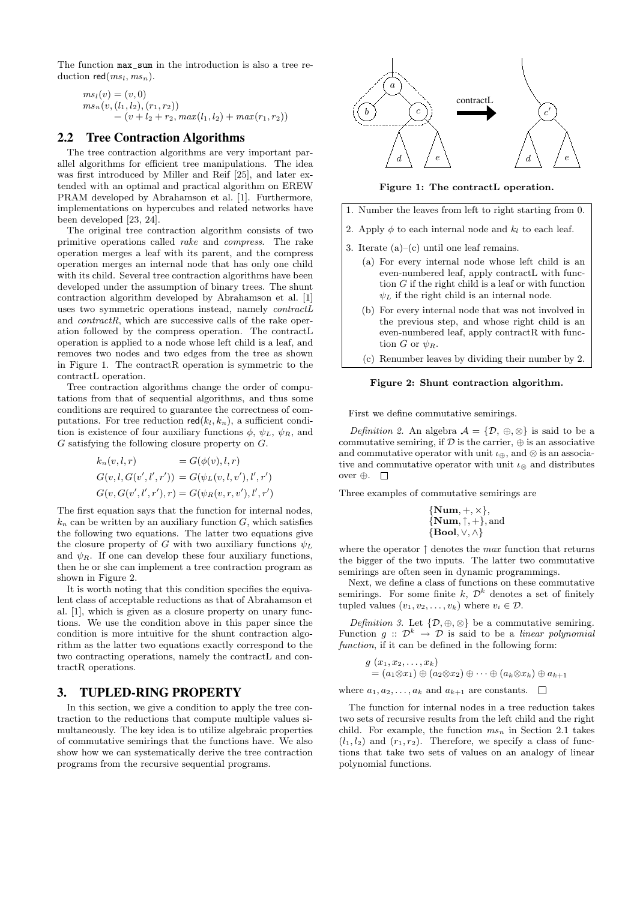The function max\_sum in the introduction is also a tree reduction red(*msl, msn*).

 $ms_l(v) = (v, 0)$  $ms_n(v, (l_1, l_2), (r_1, r_2))$  $=(v + l_2 + r_2, max(l_1, l_2) + max(r_1, r_2))$ 

#### 2.2 Tree Contraction Algorithms

The tree contraction algorithms are very important parallel algorithms for efficient tree manipulations. The idea was first introduced by Miller and Reif [25], and later extended with an optimal and practical algorithm on EREW PRAM developed by Abrahamson et al. [1]. Furthermore, implementations on hypercubes and related networks have been developed [23, 24].

The original tree contraction algorithm consists of two primitive operations called *rake* and *compress*. The rake operation merges a leaf with its parent, and the compress operation merges an internal node that has only one child with its child. Several tree contraction algorithms have been developed under the assumption of binary trees. The shunt contraction algorithm developed by Abrahamson et al. [1] uses two symmetric operations instead, namely *contractL* and *contractR*, which are successive calls of the rake operation followed by the compress operation. The contractL operation is applied to a node whose left child is a leaf, and removes two nodes and two edges from the tree as shown in Figure 1. The contractR operation is symmetric to the contractL operation.

Tree contraction algorithms change the order of computations from that of sequential algorithms, and thus some conditions are required to guarantee the correctness of computations. For tree reduction  $\text{red}(k_l, k_n)$ , a sufficient condition is existence of four auxiliary functions  $\phi$ ,  $\psi_L$ ,  $\psi_R$ , and *G* satisfying the following closure property on *G*.

$$
k_n(v, l, r) = G(\phi(v), l, r)
$$
  
\n
$$
G(v, l, G(v', l', r')) = G(\psi_L(v, l, v'), l', r')
$$
  
\n
$$
G(v, G(v', l', r'), r) = G(\psi_R(v, r, v'), l', r')
$$

The first equation says that the function for internal nodes,  $k_n$  can be written by an auxiliary function  $G$ , which satisfies the following two equations. The latter two equations give the closure property of *G* with two auxiliary functions  $\psi_L$ and  $\psi_R$ . If one can develop these four auxiliary functions, then he or she can implement a tree contraction program as shown in Figure 2.

It is worth noting that this condition specifies the equivalent class of acceptable reductions as that of Abrahamson et al. [1], which is given as a closure property on unary functions. We use the condition above in this paper since the condition is more intuitive for the shunt contraction algorithm as the latter two equations exactly correspond to the two contracting operations, namely the contractL and contractR operations.

### 3. TUPLED-RING PROPERTY

In this section, we give a condition to apply the tree contraction to the reductions that compute multiple values simultaneously. The key idea is to utilize algebraic properties of commutative semirings that the functions have. We also show how we can systematically derive the tree contraction programs from the recursive sequential programs.



**Figure 1: The contractL operation.**

- 1. Number the leaves from left to right starting from 0.
- 2. Apply  $\phi$  to each internal node and  $k_l$  to each leaf.
- 3. Iterate (a)–(c) until one leaf remains.
	- (a) For every internal node whose left child is an even-numbered leaf, apply contractL with function *G* if the right child is a leaf or with function  $\psi_L$  if the right child is an internal node.
	- (b) For every internal node that was not involved in the previous step, and whose right child is an even-numbered leaf, apply contractR with function *G* or  $\psi_R$ .
	- (c) Renumber leaves by dividing their number by 2.

#### **Figure 2: Shunt contraction algorithm.**

First we define commutative semirings.

*Definition 2.* An algebra  $A = \{D, \oplus, \otimes\}$  is said to be a commutative semiring, if  $D$  is the carrier,  $\oplus$  is an associative and commutative operator with unit *ι⊕*, and *⊗* is an associative and commutative operator with unit *ι<sup>⊗</sup>* and distributes over *⊕*.

Three examples of commutative semirings are

$$
\begin{array}{l}\{\mathbf{Num}, +, \times\}, \\ \{\mathbf{Num}, \uparrow, +\}, \text{and} \\ \{\mathbf{Bool}, \vee, \wedge\} \end{array}
$$

where the operator *↑* denotes the *max* function that returns the bigger of the two inputs. The latter two commutative semirings are often seen in dynamic programmings.

Next, we define a class of functions on these commutative semirings. For some finite  $k$ ,  $\mathcal{D}^k$  denotes a set of finitely tupled values  $(v_1, v_2, \ldots, v_k)$  where  $v_i \in \mathcal{D}$ .

*Definition 3.* Let  $\{\mathcal{D}, \oplus, \otimes\}$  be a commutative semiring. Function  $g: \mathcal{D}^k \to \mathcal{D}$  is said to be a *linear polynomial function*, if it can be defined in the following form:

$$
g(x_1, x_2,..., x_k)
$$
  
=  $(a_1 \otimes x_1) \oplus (a_2 \otimes x_2) \oplus \cdots \oplus (a_k \otimes x_k) \oplus a_{k+1}$ 

where  $a_1, a_2, \ldots, a_k$  and  $a_{k+1}$  are constants.  $\Box$ 

The function for internal nodes in a tree reduction takes two sets of recursive results from the left child and the right child. For example, the function *ms<sup>n</sup>* in Section 2.1 takes  $(l_1, l_2)$  and  $(r_1, r_2)$ . Therefore, we specify a class of functions that take two sets of values on an analogy of linear polynomial functions.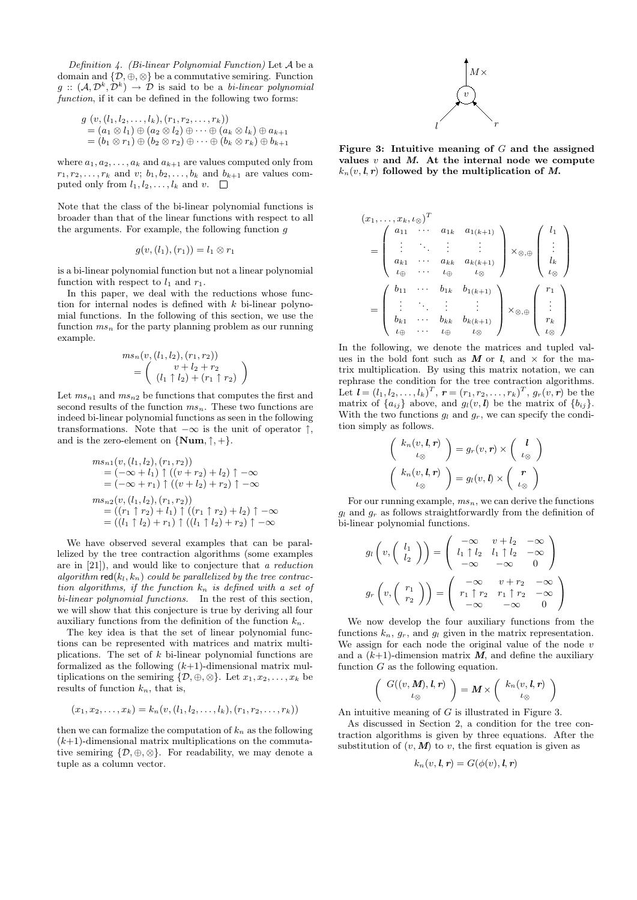*Definition 4. (Bi-linear Polynomial Function)* Let *A* be a domain and  $\{\mathcal{D}, \oplus, \otimes\}$  be a commutative semiring. Function  $g : (A, \mathcal{D}^k, \mathcal{D}^k) \rightarrow \mathcal{D}$  is said to be a *bi-linear polynomial function*, if it can be defined in the following two forms:

$$
g(v, (l_1, l_2, \ldots, l_k), (r_1, r_2, \ldots, r_k))
$$
  
=  $(a_1 \otimes l_1) \oplus (a_2 \otimes l_2) \oplus \cdots \oplus (a_k \otimes l_k) \oplus a_{k+1}$   
=  $(b_1 \otimes r_1) \oplus (b_2 \otimes r_2) \oplus \cdots \oplus (b_k \otimes r_k) \oplus b_{k+1}$ 

where  $a_1, a_2, \ldots, a_k$  and  $a_{k+1}$  are values computed only from  $r_1, r_2, \ldots, r_k$  and  $v; b_1, b_2, \ldots, b_k$  and  $b_{k+1}$  are values computed only from  $l_1, l_2, \ldots, l_k$  and  $v$ .  $\Box$ 

Note that the class of the bi-linear polynomial functions is broader than that of the linear functions with respect to all the arguments. For example, the following function *g*

$$
g(v,(l_1),(r_1))=l_1\otimes r_1
$$

is a bi-linear polynomial function but not a linear polynomial function with respect to  $l_1$  and  $r_1$ .

In this paper, we deal with the reductions whose function for internal nodes is defined with *k* bi-linear polynomial functions. In the following of this section, we use the function *ms<sup>n</sup>* for the party planning problem as our running example.

$$
ms_n(v, (l_1, l_2), (r_1, r_2))
$$
  
= 
$$
\begin{pmatrix} v + l_2 + r_2 \ (l_1 \uparrow l_2) + (r_1 \uparrow r_2) \end{pmatrix}
$$

Let  $ms_{n1}$  and  $ms_{n2}$  be functions that computes the first and second results of the function *msn*. These two functions are indeed bi-linear polynomial functions as seen in the following transformations. Note that *−∞* is the unit of operator *↑*, and is the zero-element on  $\{Num, \uparrow, +\}.$ 

$$
ms_{n1}(v,(l_1,l_2),(r_1,r_2))
$$
  
=  $(-\infty + l_1) \uparrow ((v + r_2) + l_2) \uparrow -\infty$   
=  $(-\infty + r_1) \uparrow ((v + l_2) + r_2) \uparrow -\infty$   

$$
ms_{n2}(v,(l_1,l_2),(r_1,r_2))
$$
  
=  $((r_1 \uparrow r_2) + l_1) \uparrow ((r_1 \uparrow r_2) + l_2) \uparrow -\infty$   
=  $((l_1 \uparrow l_2) + r_1) \uparrow ((l_1 \uparrow l_2) + r_2) \uparrow -\infty$ 

We have observed several examples that can be parallelized by the tree contraction algorithms (some examples are in [21]), and would like to conjecture that *a reduction* algorithm  $\text{red}(k_l, k_n)$  could be parallelized by the tree contrac*tion algorithms, if the function k<sup>n</sup> is defined with a set of bi-linear polynomial functions.* In the rest of this section, we will show that this conjecture is true by deriving all four auxiliary functions from the definition of the function *kn*.

The key idea is that the set of linear polynomial functions can be represented with matrices and matrix multiplications. The set of *k* bi-linear polynomial functions are formalized as the following (*k*+1)-dimensional matrix multiplications on the semiring  $\{\mathcal{D}, \oplus, \otimes\}$ . Let  $x_1, x_2, \ldots, x_k$  be results of function *kn*, that is,

$$
(x_1, x_2, \ldots, x_k) = k_n(v, (l_1, l_2, \ldots, l_k), (r_1, r_2, \ldots, r_k))
$$

then we can formalize the computation of  $k_n$  as the following  $(k+1)$ -dimensional matrix multiplications on the commutative semiring  $\{\mathcal{D}, \oplus, \otimes\}$ . For readability, we may denote a tuple as a column vector.



**Figure 3: Intuitive meaning of** *G* **and the assigned values** *v* **and** *M***. At the internal node we compute**  $k_n(v, l, r)$  followed by the multiplication of *M***.** 

$$
(x_1, \ldots, x_k, \iota_{\otimes})^T
$$
\n
$$
= \begin{pmatrix}\na_{11} & \cdots & a_{1k} & a_{1(k+1)} \\
\vdots & \ddots & \vdots & \vdots \\
a_{k1} & \cdots & a_{kk} & a_{k(k+1)} \\
\iota_{\oplus} & \cdots & \iota_{\oplus} & \iota_{\otimes}\n\end{pmatrix} \times_{\otimes, \oplus} \begin{pmatrix}\nl_1 \\
\vdots \\
l_k \\
\iota_{\otimes}\n\end{pmatrix}
$$
\n
$$
= \begin{pmatrix}\nb_{11} & \cdots & b_{1k} & b_{1(k+1)} \\
\vdots & \ddots & \vdots & \vdots \\
b_{k1} & \cdots & b_{kk} & b_{k(k+1)} \\
\iota_{\oplus} & \cdots & \iota_{\oplus} & \iota_{\otimes}\n\end{pmatrix} \times_{\otimes, \oplus} \begin{pmatrix}\nr_1 \\
\vdots \\
r_k \\
\iota_{\otimes}\n\end{pmatrix}
$$

In the following, we denote the matrices and tupled values in the bold font such as *M* or *l*, and  $\times$  for the matrix multiplication. By using this matrix notation, we can rephrase the condition for the tree contraction algorithms. Let  $\mathbf{l} = (l_1, l_2, \ldots, l_k)^T$ ,  $\mathbf{r} = (r_1, r_2, \ldots, r_k)^T$ ,  $g_r(v, \mathbf{r})$  be the matrix of  ${a_{ij}}$  above, and  $g_l(v, l)$  be the matrix of  ${b_{ij}}$ . With the two functions  $g_l$  and  $g_r$ , we can specify the condition simply as follows.

$$
\begin{pmatrix} k_n(v, l, r) \\ \iota_{\otimes} \end{pmatrix} = g_r(v, r) \times \begin{pmatrix} l \\ \iota_{\otimes} \end{pmatrix}
$$

$$
\begin{pmatrix} k_n(v, l, r) \\ \iota_{\otimes} \end{pmatrix} = g_l(v, l) \times \begin{pmatrix} r \\ \iota_{\otimes} \end{pmatrix}
$$

For our running example, *msn*, we can derive the functions *g<sup>l</sup>* and *g<sup>r</sup>* as follows straightforwardly from the definition of bi-linear polynomial functions.

$$
g_l\left(v, \left(\begin{array}{c}l_1\\l_2\end{array}\right)\right) = \left(\begin{array}{ccc} -\infty & v+l_2 & -\infty \\ l_1 \uparrow l_2 & l_1 \uparrow l_2 & -\infty \\ -\infty & -\infty & 0 \end{array}\right)
$$

$$
g_r\left(v, \left(\begin{array}{c}r_1\\r_2\end{array}\right)\right) = \left(\begin{array}{ccc} -\infty & v+r_2 & -\infty \\ r_1 \uparrow r_2 & r_1 \uparrow r_2 & -\infty \\ -\infty & -\infty & 0 \end{array}\right)
$$

We now develop the four auxiliary functions from the functions  $k_n$ ,  $g_r$ , and  $g_l$  given in the matrix representation. We assign for each node the original value of the node *v* and a  $(k+1)$ -dimension matrix  $M$ , and define the auxiliary function *G* as the following equation.

$$
\left(\begin{array}{c}G((v,\pmb{M}),\pmb{l},\pmb{r})\\ \iota_{\otimes} \end{array}\right)=\pmb{M}\times\left(\begin{array}{c} k_n(v,\pmb{l},\pmb{r})\\ \iota_{\otimes} \end{array}\right)
$$

An intuitive meaning of *G* is illustrated in Figure 3.

As discussed in Section 2, a condition for the tree contraction algorithms is given by three equations. After the substitution of  $(v, M)$  to  $v$ , the first equation is given as

$$
k_n(v, \mathbf{l}, \mathbf{r}) = G(\phi(v), \mathbf{l}, \mathbf{r})
$$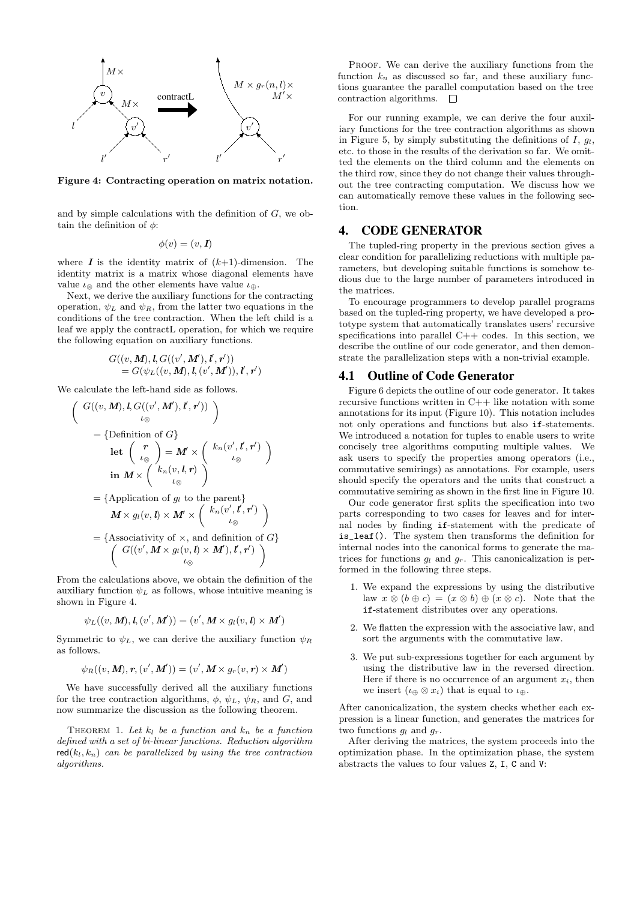

**Figure 4: Contracting operation on matrix notation.**

and by simple calculations with the definition of *G*, we obtain the definition of *φ*:

$$
\phi(v)=(v,\mathbf{I})
$$

where  $I$  is the identity matrix of  $(k+1)$ -dimension. The identity matrix is a matrix whose diagonal elements have value  $\iota_{\otimes}$  and the other elements have value  $\iota_{\oplus}$ .

Next, we derive the auxiliary functions for the contracting operation,  $\psi_L$  and  $\psi_R$ , from the latter two equations in the conditions of the tree contraction. When the left child is a leaf we apply the contractL operation, for which we require the following equation on auxiliary functions.

$$
G((v, M), l, G((v', M'), l', r'))= G(\psi_L((v, M), l, (v', M')), l', r')
$$

We calculate the left-hand side as follows.

$$
\left(\begin{array}{c} G((v,M),l,G((v',M'),l',r')) \\ \iota_{\otimes} \\ \operatorname{left}(v',M'),l',r') \end{array}\right) \\ = \{ \begin{array}{c} \text{Definition of } G \} \\ \operatorname{let} \left( \begin{array}{c} r \\ \iota_{\otimes} \end{array} \right) = M' \times \left( \begin{array}{c} k_n(v',l',r') \\ \iota_{\otimes} \end{array} \right) \\ = \{ \text{Application of } g_l \text{ to the parent} \} \\ M \times g_l(v,l) \times M' \times \left( \begin{array}{c} k_n(v',l',r') \\ \iota_{\otimes} \end{array} \right) \\ = \{ \text{Associativity of } \times \text{, and definition of } G \} \\ \left( \begin{array}{c} G((v',M \times g_l(v,l) \times M'),l',r') \\ \iota_{\otimes} \end{array} \right) \end{array}
$$

From the calculations above, we obtain the definition of the auxiliary function  $\psi_L$  as follows, whose intuitive meaning is shown in Figure 4.

$$
\psi_L((v, \mathbf{M}), \mathbf{l}, (v', \mathbf{M}')) = (v', \mathbf{M} \times g_l(v, \mathbf{l}) \times \mathbf{M}')
$$

Symmetric to  $\psi_L$ , we can derive the auxiliary function  $\psi_R$ as follows.

$$
\psi_R((v,\bm{M}),\bm{r},(v',\bm{M}'))=(v',\bm{M}\times g_r(v,\bm{r})\times \bm{M}')
$$

We have successfully derived all the auxiliary functions for the tree contraction algorithms,  $\phi$ ,  $\psi_L$ ,  $\psi_R$ , and *G*, and now summarize the discussion as the following theorem.

THEOREM 1. Let  $k_l$  be a function and  $k_n$  be a function *defined with a set of bi-linear functions. Reduction algorithm*  $\text{red}(k_l, k_n)$  *can be parallelized by using the tree contraction algorithms.*

PROOF. We can derive the auxiliary functions from the function  $k_n$  as discussed so far, and these auxiliary functions guarantee the parallel computation based on the tree contraction algorithms.  $\square$ 

For our running example, we can derive the four auxiliary functions for the tree contraction algorithms as shown in Figure 5, by simply substituting the definitions of  $I$ ,  $g_l$ , etc. to those in the results of the derivation so far. We omitted the elements on the third column and the elements on the third row, since they do not change their values throughout the tree contracting computation. We discuss how we can automatically remove these values in the following section.

#### 4. CODE GENERATOR

The tupled-ring property in the previous section gives a clear condition for parallelizing reductions with multiple parameters, but developing suitable functions is somehow tedious due to the large number of parameters introduced in the matrices.

To encourage programmers to develop parallel programs based on the tupled-ring property, we have developed a prototype system that automatically translates users' recursive specifications into parallel  $C++$  codes. In this section, we describe the outline of our code generator, and then demonstrate the parallelization steps with a non-trivial example.

#### 4.1 Outline of Code Generator

Figure 6 depicts the outline of our code generator. It takes recursive functions written in C++ like notation with some annotations for its input (Figure 10). This notation includes not only operations and functions but also if-statements. We introduced a notation for tuples to enable users to write concisely tree algorithms computing multiple values. We ask users to specify the properties among operators (i.e., commutative semirings) as annotations. For example, users should specify the operators and the units that construct a commutative semiring as shown in the first line in Figure 10.

Our code generator first splits the specification into two parts corresponding to two cases for leaves and for internal nodes by finding if-statement with the predicate of is\_leaf(). The system then transforms the definition for internal nodes into the canonical forms to generate the matrices for functions  $g_l$  and  $g_r$ . This canonicalization is performed in the following three steps.

- 1. We expand the expressions by using the distributive law  $x \otimes (b \oplus c) = (x \otimes b) \oplus (x \otimes c)$ . Note that the if-statement distributes over any operations.
- 2. We flatten the expression with the associative law, and sort the arguments with the commutative law.
- 3. We put sub-expressions together for each argument by using the distributive law in the reversed direction. Here if there is no occurrence of an argument  $x_i$ , then we insert  $(\iota_{\oplus} \otimes x_i)$  that is equal to  $\iota_{\oplus}$ .

After canonicalization, the system checks whether each expression is a linear function, and generates the matrices for two functions  $g_l$  and  $g_r$ .

After deriving the matrices, the system proceeds into the optimization phase. In the optimization phase, the system abstracts the values to four values Z, I, C and V: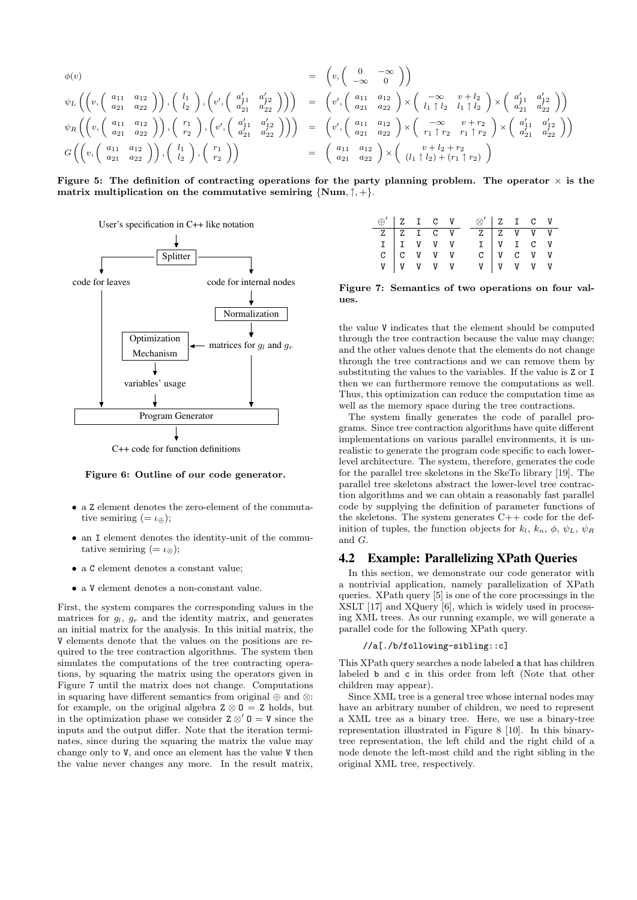$$
\begin{array}{rcl}\n\phi(v) & = & \left(v, \left(\begin{array}{cc} 0 & -\infty \\ -\infty & 0 \end{array}\right)\right) \\
\psi_L\left(\left(v, \left(\begin{array}{cc} a_{11} & a_{12} \\ a_{21} & a_{22} \end{array}\right)\right), \left(\begin{array}{cc} l_1 \\ l_2 \end{array}\right), \left(v', \left(\begin{array}{cc} a'_{11} & a'_{12} \\ a'_{21} & a'_{22} \end{array}\right)\right)\right) & = & \left(v', \left(\begin{array}{cc} a_{11} & a_{12} \\ a_{21} & a_{22} \end{array}\right) \times \left(\begin{array}{cc} -\infty & v+l_2 \\ l_1 \uparrow l_2 & l_1 \uparrow l_2 \end{array}\right) \times \left(\begin{array}{cc} a'_{11} & a'_{12} \\ a'_{21} & a'_{22} \end{array}\right)\right) \\
\psi_R\left(\left(v, \left(\begin{array}{cc} a_{11} & a_{12} \\ a_{21} & a_{22} \end{array}\right)\right), \left(\begin{array}{cc} r_1 \\ r_2 \end{array}\right), \left(v', \left(\begin{array}{cc} a'_{11} & a'_{12} \\ a'_{21} & a'_{22} \end{array}\right)\right)\right) & = & \left(v', \left(\begin{array}{cc} a_{11} & a_{12} \\ a_{21} & a_{22} \end{array}\right) \times \left(\begin{array}{cc} -\infty & v+r_2 \\ r_1 \uparrow r_2 & r_1 \uparrow r_2 \end{array}\right) \times \left(\begin{array}{cc} a'_{11} & a'_{12} \\ a'_{21} & a'_{22} \end{array}\right)\right) \\
G\left(\left(v, \left(\begin{array}{cc} a_{11} & a_{12} \\ a_{21} & a_{22} \end{array}\right)\right), \left(\begin{array}{cc} l_1 \\ l_2 \end{array}\right), \left(\begin{array}{cc} r_1 \\ l_2 \end{array}\right), \left(\begin{array}{cc} r_1 \\ r_2 \end{array}\right
$$

**Figure 5: The definition of contracting operations for the party planning problem. The operator** *×* **is the matrix multiplication on the commutative semiring** *{***Num***, ↑,* +*}.*



C++ code for function definitions

**Figure 6: Outline of our code generator.**

- *•* a Z element denotes the zero-element of the commutative semiring  $(= \iota_{\oplus});$
- *•* an I element denotes the identity-unit of the commutative semiring (=  $\iota_{\otimes}$ );
- *•* a C element denotes a constant value;
- *•* a V element denotes a non-constant value.

First, the system compares the corresponding values in the matrices for  $g_l$ ,  $g_r$  and the identity matrix, and generates an initial matrix for the analysis. In this initial matrix, the V elements denote that the values on the positions are required to the tree contraction algorithms. The system then simulates the computations of the tree contracting operations, by squaring the matrix using the operators given in Figure 7 until the matrix does not change. Computations in squaring have different semantics from original *⊕* and *⊗*: for example, on the original algebra  $Z \otimes 0 = Z$  holds, but in the optimization phase we consider  $Z \otimes' 0 = V$  since the inputs and the output differ. Note that the iteration terminates, since during the squaring the matrix the value may change only to V, and once an element has the value V then the value never changes any more. In the result matrix,

| $\oplus'$   Z I C V                                                                                                              |  |  | $\otimes'$   Z I C V |                                                                                                                               |  |  |
|----------------------------------------------------------------------------------------------------------------------------------|--|--|----------------------|-------------------------------------------------------------------------------------------------------------------------------|--|--|
|                                                                                                                                  |  |  |                      |                                                                                                                               |  |  |
|                                                                                                                                  |  |  |                      |                                                                                                                               |  |  |
|                                                                                                                                  |  |  |                      |                                                                                                                               |  |  |
| $\begin{tabular}{c ccccc} Z & Z & I & C & V \\ \hline I & I & V & V & V \\ C & C & V & V & V \\ V & V & V & V & V \end{tabular}$ |  |  |                      | $\begin{array}{c cccccc} Z & Z & V & V & V \\ \hline I & V & I & C & V \\ C & V & C & V & V \\ V & V & V & V & V \end{array}$ |  |  |

**Figure 7: Semantics of two operations on four values.**

the value V indicates that the element should be computed through the tree contraction because the value may change; and the other values denote that the elements do not change through the tree contractions and we can remove them by substituting the values to the variables. If the value is Z or I then we can furthermore remove the computations as well. Thus, this optimization can reduce the computation time as well as the memory space during the tree contractions.

The system finally generates the code of parallel programs. Since tree contraction algorithms have quite different implementations on various parallel environments, it is unrealistic to generate the program code specific to each lowerlevel architecture. The system, therefore, generates the code for the parallel tree skeletons in the SkeTo library [19]. The parallel tree skeletons abstract the lower-level tree contraction algorithms and we can obtain a reasonably fast parallel code by supplying the definition of parameter functions of the skeletons. The system generates  $C++$  code for the definition of tuples, the function objects for  $k_l$ ,  $k_n$ ,  $\phi$ ,  $\psi_L$ ,  $\psi_R$ and *G*.

#### 4.2 Example: Parallelizing XPath Queries

In this section, we demonstrate our code generator with a nontrivial application, namely parallelization of XPath queries. XPath query [5] is one of the core processings in the XSLT [17] and XQuery [6], which is widely used in processing XML trees. As our running example, we will generate a parallel code for the following XPath query.

#### //a[./b/following-sibling::c]

This XPath query searches a node labeled a that has children labeled b and c in this order from left (Note that other children may appear).

Since XML tree is a general tree whose internal nodes may have an arbitrary number of children, we need to represent a XML tree as a binary tree. Here, we use a binary-tree representation illustrated in Figure 8 [10]. In this binarytree representation, the left child and the right child of a node denote the left-most child and the right sibling in the original XML tree, respectively.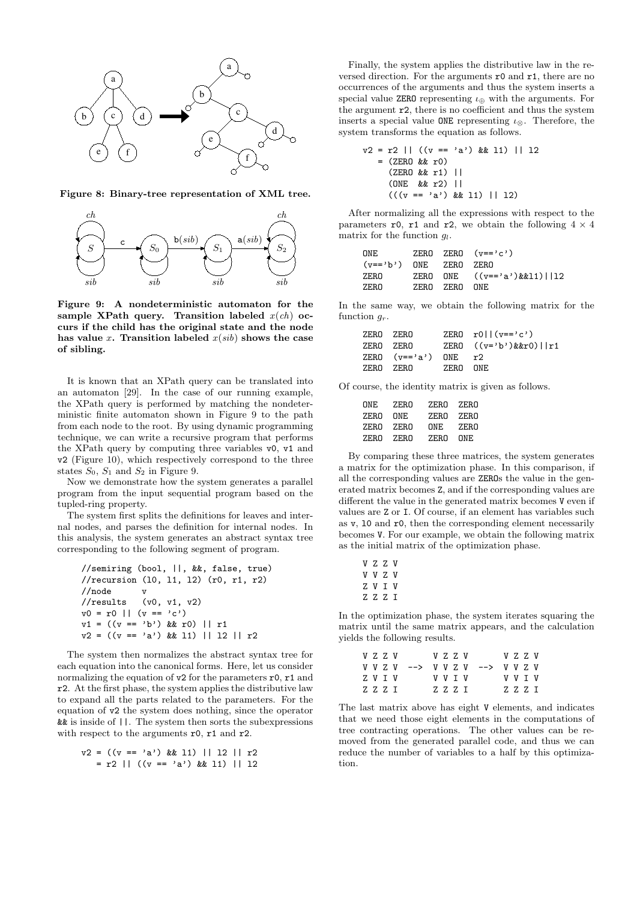

**Figure 8: Binary-tree representation of XML tree.**



**Figure 9: A nondeterministic automaton for the sample XPath query. Transition labeled** *x*(*ch*) **occurs if the child has the original state and the node has value** *x***. Transition labeled** *x*(*sib*) **shows the case of sibling.**

It is known that an XPath query can be translated into an automaton [29]. In the case of our running example, the XPath query is performed by matching the nondeterministic finite automaton shown in Figure 9 to the path from each node to the root. By using dynamic programming technique, we can write a recursive program that performs the XPath query by computing three variables v0, v1 and v2 (Figure 10), which respectively correspond to the three states  $S_0$ ,  $S_1$  and  $S_2$  in Figure 9.

Now we demonstrate how the system generates a parallel program from the input sequential program based on the tupled-ring property.

The system first splits the definitions for leaves and internal nodes, and parses the definition for internal nodes. In this analysis, the system generates an abstract syntax tree corresponding to the following segment of program.

```
//semiring (bool, ||, &&, false, true)
//recursion (l0, l1, l2) (r0, r1, r2)
//node v
//results (v0, v1, v2)v0 = r0 || (v == 'c')v1 = ((v == 'b') \& x) r0) || r1
v2 = ((v == 'a') & 2 & 11) || 12 || r2
```
The system then normalizes the abstract syntax tree for each equation into the canonical forms. Here, let us consider normalizing the equation of  $v2$  for the parameters  $r0$ ,  $r1$  and r2. At the first phase, the system applies the distributive law to expand all the parts related to the parameters. For the equation of v2 the system does nothing, since the operator && is inside of ||. The system then sorts the subexpressions with respect to the arguments r0, r1 and r2.

$$
v2 = ((v == 'a') \& 11) || 12 || r2
$$

$$
= r2 || ((v == 'a') \& 11) || 12
$$

Finally, the system applies the distributive law in the reversed direction. For the arguments r0 and r1, there are no occurrences of the arguments and thus the system inserts a special value ZERO representing *ι<sup>⊕</sup>* with the arguments. For the argument r2, there is no coefficient and thus the system inserts a special value ONE representing *ι⊗*. Therefore, the system transforms the equation as follows.

 $v2 = r2$  ||  $((v == 'a')$  & 11) || 12 = (ZERO && r0) (ZERO && r1) || (ONE && r2) ||  $(((v == 'a') & 2 & 11) || 12)$ 

After normalizing all the expressions with respect to the parameters **r0**, **r1** and **r2**, we obtain the following  $4 \times 4$ matrix for the function *gl*.

| ONE                        |               | ZERO ZERO $(v == 'c')$          |
|----------------------------|---------------|---------------------------------|
| $(v == 'b')$ ONE ZERO ZERO |               |                                 |
| ZERO                       |               | ZERO ONE $((y == 'a')&&1)$   12 |
| ZERO                       | ZERO ZERO ONE |                                 |

In the same way, we obtain the following matrix for the function  $g_r$ .

| ZERO ZERO                |          | ZERO $r0  (v=-c')$                      |
|--------------------------|----------|-----------------------------------------|
| ZERO ZERO                |          | ZERO $((v=$ <sup>b</sup> ')&&r0) $  r1$ |
| ZERO $(v == 'a')$ ONE r2 |          |                                         |
| ZERO ZERO                | ZERO ONE |                                         |
|                          |          |                                         |

Of course, the identity matrix is given as follows.

| ONE.    | ZERO    | 7.F.R.O | 7.F.R.O |
|---------|---------|---------|---------|
| ZERO    | NNF.    | 7.F.R.O | 7.F.R.O |
| 7.F.R.O | 7.F.R.O | ONE.    | 7.F.R.O |
| 7.F.R.O | ZERO    | 7.F.R.O | ONE.    |

By comparing these three matrices, the system generates a matrix for the optimization phase. In this comparison, if all the corresponding values are ZEROs the value in the generated matrix becomes Z, and if the corresponding values are different the value in the generated matrix becomes V even if values are Z or I. Of course, if an element has variables such as v, l0 and r0, then the corresponding element necessarily becomes V. For our example, we obtain the following matrix as the initial matrix of the optimization phase.

| VZZV    |  |
|---------|--|
| v v z v |  |
| Z V I V |  |
| Z Z Z I |  |

In the optimization phase, the system iterates squaring the matrix until the same matrix appears, and the calculation yields the following results.

| V Z Z V |  |                                 | v z z v |         |  | v z z v |         |  |
|---------|--|---------------------------------|---------|---------|--|---------|---------|--|
|         |  | V V Z V --> V V Z V --> V V Z V |         |         |  |         |         |  |
| ZVIV    |  |                                 |         | v v 1 v |  |         | V V I V |  |
| Z Z Z I |  |                                 |         | Z Z Z I |  |         | Z Z Z I |  |

The last matrix above has eight V elements, and indicates that we need those eight elements in the computations of tree contracting operations. The other values can be removed from the generated parallel code, and thus we can reduce the number of variables to a half by this optimization.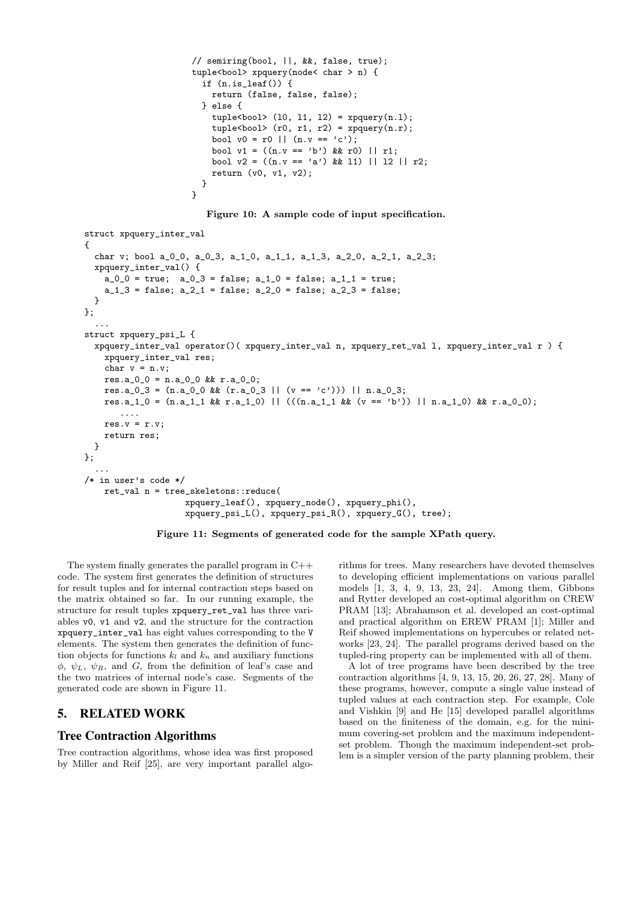```
// semiring(bool, ||, &&, false, true);
tuple<bool> xpquery(node< char > n) {
  if (n.is_leaf()) {
    return (false, false, false);
  } else {
    tuple <b>bold</b> <math>(10, 11, 12) =</math> <b>xpquery(n.1)</b>;tuple <b>bool</b> > (r0, r1, r2) = <b>xpquery(n.r)</b>;bool v0 = r0 || (n.v == 'c');
    bool v1 = ((n.v == 'b') && r0) || r1;
    bool v2 = ((n.v == 'a') & & 1) || 12 || r2;return (v0, v1, v2);
  }
}
```


```
struct xpquery_inter_val
{
  char v; bool a_0_0, a_0_3, a_1_0, a_1_1, a_1_3, a_2_0, a_2_1, a_2_3;
  xpquery_inter_val() {
    a_0 = true; a_0 = 3 = false; a_1 = 0 = false; a_1 = 1 = true;
    a_11_3 = false; a_21 = false; a_20 = false; a_23 = false;
  }
};
  ...
struct xpquery_psi_L {
  xpquery_inter_val operator()( xpquery_inter_val n, xpquery_ret_val l, xpquery_inter_val r ) {
    xpquery_inter_val res;
    char v = n.v;res.a_0_0 = n.a_0_0 && r.a_0_0;
    res.a_0_3 = (n.a_0_0 \& (r.a_0_3 || (v == 'c'))) || n.a_0_3;res.a_1_0 = (n.a_11 0 k k r.a_10) || (((n.a_11 0 k k (v == 'b')) || n.a_10) 0 k r.a_00);
       ....
    res.v = r.v;return res;
  }
};
  ...
/* in user's code */
    ret val n = tree skeletons::reduce(
                    xpquery_leaf(), xpquery_node(), xpquery_phi(),
                    xpquery_psi_L(), xpquery_psi_R(), xpquery_G(), tree);
```


The system finally generates the parallel program in C++ code. The system first generates the definition of structures for result tuples and for internal contraction steps based on the matrix obtained so far. In our running example, the structure for result tuples xpquery\_ret\_val has three variables v0, v1 and v2, and the structure for the contraction xpquery\_inter\_val has eight values corresponding to the V elements. The system then generates the definition of function objects for functions  $k_l$  and  $k_n$  and auxiliary functions  $\phi$ ,  $\psi_L$ ,  $\psi_R$ , and *G*, from the definition of leaf's case and the two matrices of internal node's case. Segments of the generated code are shown in Figure 11.

# 5. RELATED WORK

# Tree Contraction Algorithms

Tree contraction algorithms, whose idea was first proposed by Miller and Reif [25], are very important parallel algo-

rithms for trees. Many researchers have devoted themselves to developing efficient implementations on various parallel models [1, 3, 4, 9, 13, 23, 24]. Among them, Gibbons and Rytter developed an cost-optimal algorithm on CREW PRAM [13]; Abrahamson et al. developed an cost-optimal and practical algorithm on EREW PRAM [1]; Miller and Reif showed implementations on hypercubes or related networks [23, 24]. The parallel programs derived based on the tupled-ring property can be implemented with all of them.

A lot of tree programs have been described by the tree contraction algorithms [4, 9, 13, 15, 20, 26, 27, 28]. Many of these programs, however, compute a single value instead of tupled values at each contraction step. For example, Cole and Vishkin [9] and He [15] developed parallel algorithms based on the finiteness of the domain, e.g. for the minimum covering-set problem and the maximum independentset problem. Though the maximum independent-set problem is a simpler version of the party planning problem, their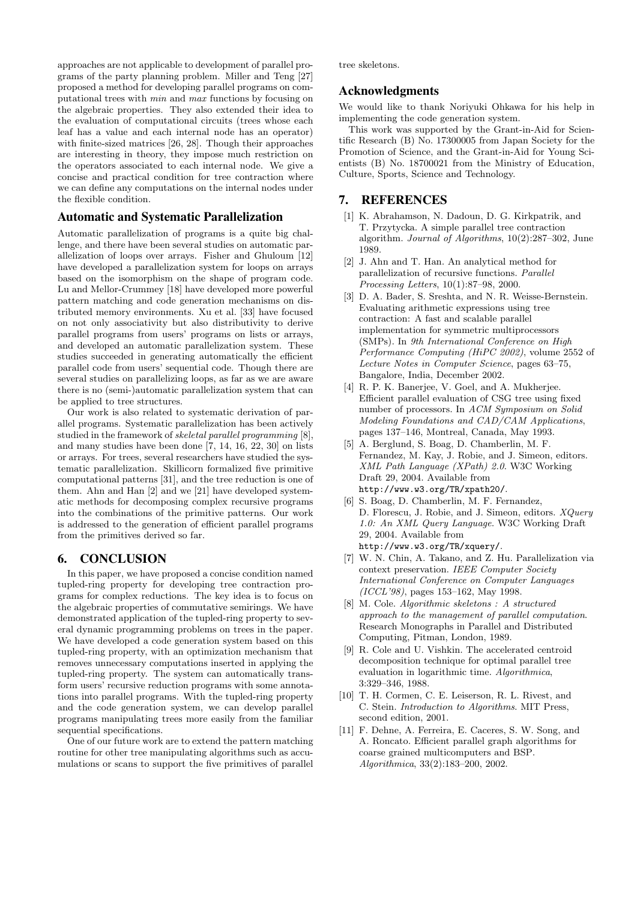approaches are not applicable to development of parallel programs of the party planning problem. Miller and Teng [27] proposed a method for developing parallel programs on computational trees with *min* and *max* functions by focusing on the algebraic properties. They also extended their idea to the evaluation of computational circuits (trees whose each leaf has a value and each internal node has an operator) with finite-sized matrices [26, 28]. Though their approaches are interesting in theory, they impose much restriction on the operators associated to each internal node. We give a concise and practical condition for tree contraction where we can define any computations on the internal nodes under the flexible condition.

### Automatic and Systematic Parallelization

Automatic parallelization of programs is a quite big challenge, and there have been several studies on automatic parallelization of loops over arrays. Fisher and Ghuloum [12] have developed a parallelization system for loops on arrays based on the isomorphism on the shape of program code. Lu and Mellor-Crummey [18] have developed more powerful pattern matching and code generation mechanisms on distributed memory environments. Xu et al. [33] have focused on not only associativity but also distributivity to derive parallel programs from users' programs on lists or arrays, and developed an automatic parallelization system. These studies succeeded in generating automatically the efficient parallel code from users' sequential code. Though there are several studies on parallelizing loops, as far as we are aware there is no (semi-)automatic parallelization system that can be applied to tree structures.

Our work is also related to systematic derivation of parallel programs. Systematic parallelization has been actively studied in the framework of *skeletal parallel programming* [8], and many studies have been done [7, 14, 16, 22, 30] on lists or arrays. For trees, several researchers have studied the systematic parallelization. Skillicorn formalized five primitive computational patterns [31], and the tree reduction is one of them. Ahn and Han [2] and we [21] have developed systematic methods for decomposing complex recursive programs into the combinations of the primitive patterns. Our work is addressed to the generation of efficient parallel programs from the primitives derived so far.

#### 6. CONCLUSION

In this paper, we have proposed a concise condition named tupled-ring property for developing tree contraction programs for complex reductions. The key idea is to focus on the algebraic properties of commutative semirings. We have demonstrated application of the tupled-ring property to several dynamic programming problems on trees in the paper. We have developed a code generation system based on this tupled-ring property, with an optimization mechanism that removes unnecessary computations inserted in applying the tupled-ring property. The system can automatically transform users' recursive reduction programs with some annotations into parallel programs. With the tupled-ring property and the code generation system, we can develop parallel programs manipulating trees more easily from the familiar sequential specifications.

One of our future work are to extend the pattern matching routine for other tree manipulating algorithms such as accumulations or scans to support the five primitives of parallel

tree skeletons.

#### Acknowledgments

We would like to thank Noriyuki Ohkawa for his help in implementing the code generation system.

This work was supported by the Grant-in-Aid for Scientific Research (B) No. 17300005 from Japan Society for the Promotion of Science, and the Grant-in-Aid for Young Scientists (B) No. 18700021 from the Ministry of Education, Culture, Sports, Science and Technology.

#### 7. REFERENCES

- [1] K. Abrahamson, N. Dadoun, D. G. Kirkpatrik, and T. Przytycka. A simple parallel tree contraction algorithm. *Journal of Algorithms*, 10(2):287–302, June 1989.
- [2] J. Ahn and T. Han. An analytical method for parallelization of recursive functions. *Parallel Processing Letters*, 10(1):87–98, 2000.
- [3] D. A. Bader, S. Sreshta, and N. R. Weisse-Bernstein. Evaluating arithmetic expressions using tree contraction: A fast and scalable parallel implementation for symmetric multiprocessors (SMPs). In *9th International Conference on High Performance Computing (HiPC 2002)*, volume 2552 of *Lecture Notes in Computer Science*, pages 63–75, Bangalore, India, December 2002.
- [4] R. P. K. Banerjee, V. Goel, and A. Mukherjee. Efficient parallel evaluation of CSG tree using fixed number of processors. In *ACM Symposium on Solid Modeling Foundations and CAD/CAM Applications*, pages 137–146, Montreal, Canada, May 1993.
- [5] A. Berglund, S. Boag, D. Chamberlin, M. F. Fernandez, M. Kay, J. Robie, and J. Simeon, editors. *XML Path Language (XPath) 2.0*. W3C Working Draft 29, 2004. Available from http://www.w3.org/TR/xpath20/.
- [6] S. Boag, D. Chamberlin, M. F. Fernandez, D. Florescu, J. Robie, and J. Simeon, editors. *XQuery 1.0: An XML Query Language*. W3C Working Draft 29, 2004. Available from http://www.w3.org/TR/xquery/.
- [7] W. N. Chin, A. Takano, and Z. Hu. Parallelization via context preservation. *IEEE Computer Society International Conference on Computer Languages (ICCL'98)*, pages 153–162, May 1998.
- [8] M. Cole. *Algorithmic skeletons : A structured approach to the management of parallel computation*. Research Monographs in Parallel and Distributed Computing, Pitman, London, 1989.
- [9] R. Cole and U. Vishkin. The accelerated centroid decomposition technique for optimal parallel tree evaluation in logarithmic time. *Algorithmica*, 3:329–346, 1988.
- [10] T. H. Cormen, C. E. Leiserson, R. L. Rivest, and C. Stein. *Introduction to Algorithms*. MIT Press, second edition, 2001.
- [11] F. Dehne, A. Ferreira, E. Caceres, S. W. Song, and A. Roncato. Efficient parallel graph algorithms for coarse grained multicomputers and BSP. *Algorithmica*, 33(2):183–200, 2002.